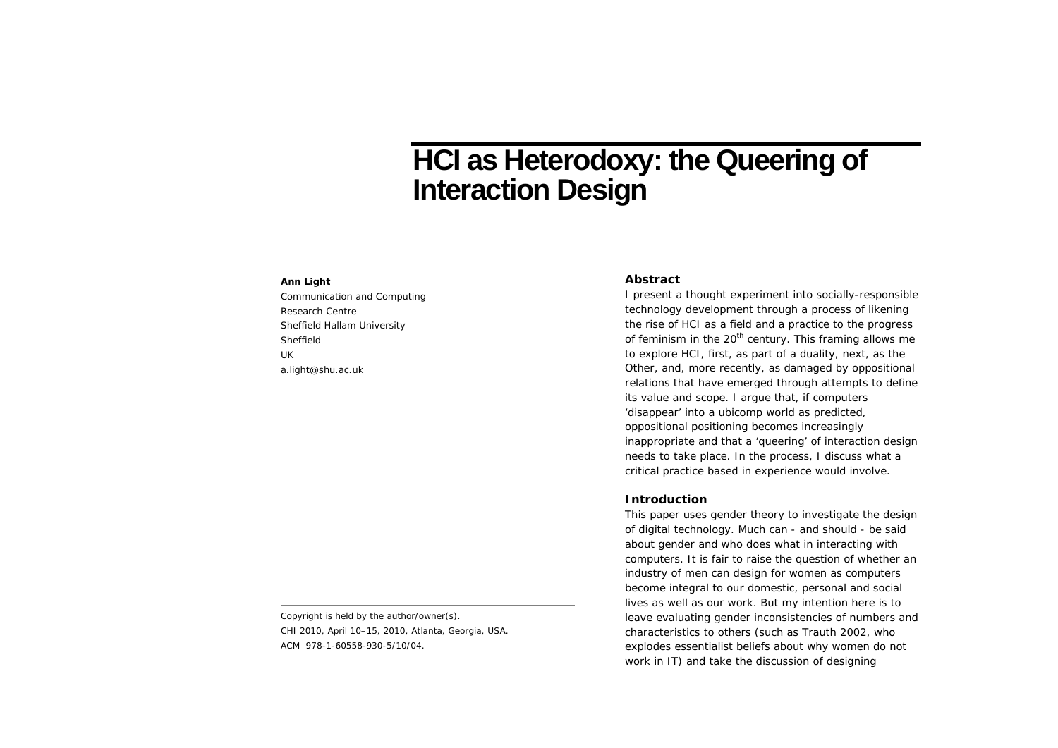# **HCI as Heterodoxy: the Queering of Interaction Design**

## **Ann Light**

Communication and Computing Research Centre Sheffield Hallam University Sheffield UK a.light@shu.ac.uk

Copyright is held by the author/owner(s). *CHI 2010*, April 10–15, 2010, Atlanta, Georgia, USA. ACM 978-1-60558-930-5/10/04.

#### **Abstract**

I present a thought experiment into socially-responsible technology development through a process of likening the rise of HCI as a field and a practice to the progress of feminism in the  $20<sup>th</sup>$  century. This framing allows me to explore HCI, first, as part of a duality, next, as the Other, and, more recently, as damaged by oppositional relations that have emerged through attempts to define its value and scope. I argue that, if computers 'disappear' into a ubicomp world as predicted, oppositional positioning becomes increasingly inappropriate and that a 'queering' of interaction design needs to take place. In the process, I discuss what a critical practice based in experience would involve.

#### **Introduction**

This paper uses gender theory to investigate the design of digital technology. Much can - and should - be said about gender and who does what in interacting with computers. It is fair to raise the question of whether an industry of men can design for women as computers become integral to our domestic, personal and social lives as well as our work. But my intention here is to leave evaluating gender inconsistencies of numbers and characteristics to others (such as Trauth 2002, who explodes essentialist beliefs about why women do not work in IT) and take the discussion of designing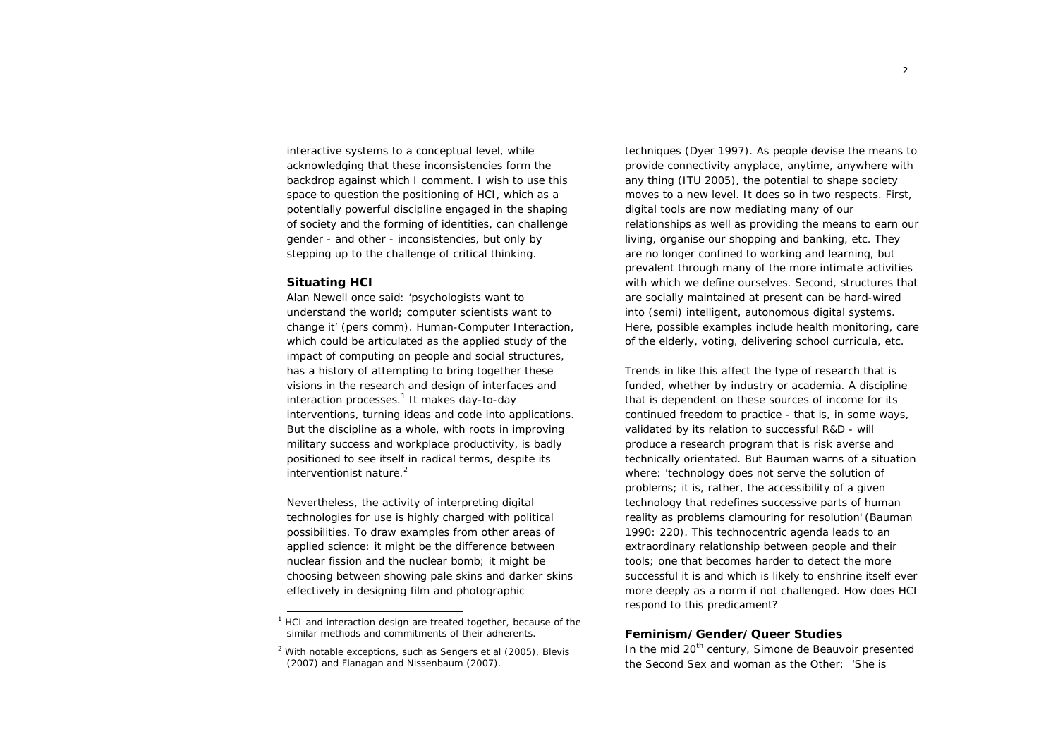interactive systems to a conceptual level, while acknowledging that these inconsistencies form the backdrop against which I comment. I wish to use this space to question the positioning of HCI, which as a potentially powerful discipline engaged in the shaping of society and the forming of identities, can challenge gender - and other - inconsistencies, but only by stepping up to the challenge of critical thinking.

#### **Situating HCI**

Alan Newell once said: 'psychologists want to understand the world; computer scientists want to change it' (pers comm). Human-Computer Interaction, which could be articulated as the *applied study of the impact of computing on people and social structures,* has a history of attempting to bring together these visions in the research and design of interfaces and interaction processes.<sup>1</sup> It makes day-to-day interventions, turning ideas and code into applications. But the discipline as a whole, with roots in improving military success and workplace productivity, is badly positioned to see itself in radical terms, despite its interventionist nature.<sup>2</sup>

Nevertheless, the activity of interpreting digital technologies for use is highly charged with political possibilities. To draw examples from other areas of applied science: it might be the difference between nuclear fission and the nuclear bomb; it might be choosing between showing pale skins and darker skins effectively in designing film and photographic

techniques (Dyer 1997). As people devise the means to provide connectivity anyplace, anytime, anywhere with any thing (ITU 2005), the potential to shape society moves to a new level. It does so in two respects. First, digital tools are now mediating many of our relationships as well as providing the means to earn our living, organise our shopping and banking, etc. They are no longer confined to working and learning, but prevalent through many of the more intimate activities with which we define ourselves. Second, structures that are socially maintained at present can be hard-wired into (semi) intelligent, autonomous digital systems. Here, possible examples include health monitoring, care of the elderly, voting, delivering school curricula, etc.

Trends in like this affect the type of research that is funded, whether by industry or academia. A discipline that is dependent on these sources of income for its continued freedom to practice - that is, in some ways, validated by its relation to successful R&D - will produce a research program that is risk averse and technically orientated. But Bauman warns of a situation where: 'technology does not serve the solution of problems; it is, rather, the accessibility of a given technology that redefines successive parts of human reality as problems clamouring for resolution' (Bauman 1990: 220). This technocentric agenda leads to an extraordinary relationship between people and their tools; one that becomes harder to detect the more successful it is and which is likely to enshrine itself ever more deeply as a norm if not challenged. How does HCI respond to this predicament?

#### **Feminism/Gender/Queer Studies**

In the mid 20<sup>th</sup> century, Simone de Beauvoir presented the *Second Sex* and woman as the Other: 'She is

<sup>&</sup>lt;sup>1</sup> HCI and interaction design are treated together, because of the similar methods and commitments of their adherents.

 $2$  With notable exceptions, such as Sengers et al (2005), Blevis (2007) and Flanagan and Nissenbaum (2007).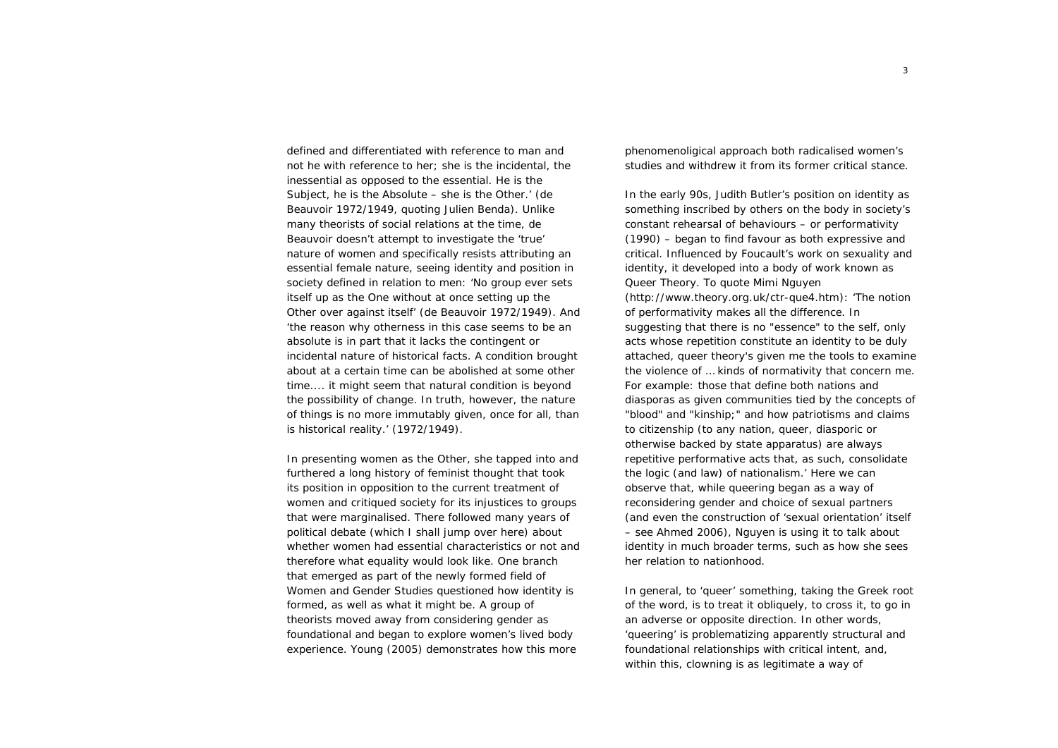defined and differentiated with reference to man and not he with reference to her; she is the incidental, the inessential as opposed to the essential. He is the Subject, he is the Absolute – she is the Other.' (de Beauvoir 1972/1949, quoting Julien Benda). Unlike many theorists of social relations at the time, de Beauvoir doesn't attempt to investigate the 'true' nature of women and specifically resists attributing an essential female nature, seeing identity and position in society defined in relation to men: 'No group ever sets itself up as the One without at once setting up the Other over against itself' (de Beauvoir 1972/1949). And 'the reason why otherness in this case seems to be an absolute is in part that it lacks the contingent or incidental nature of historical facts. A condition brought about at a certain time can be abolished at some other time.... it might seem that natural condition is beyond the possibility of change. In truth, however, the nature of things is no more immutably given, once for all, than is historical reality.' (1972/1949).

In presenting women as the Other, she tapped into and furthered a long history of feminist thought that took its position in opposition to the current treatment of women and critiqued society for its injustices to groups that were marginalised. There followed many years of political debate (which I shall jump over here) about whether women had essential characteristics or not and therefore what equality would look like. One branch that emerged as part of the newly formed field of *Women and Gender Studies* questioned how identity is formed, as well as what it might be. A group of theorists moved away from considering gender as foundational and began to explore women's lived body experience. Young (2005) demonstrates how this more

phenomenoligical approach both radicalised women's studies and withdrew it from its former critical stance.

In the early 90s, Judith Butler's position on identity as something inscribed by others on the body in society's constant rehearsal of behaviours – or *performativity*  (1990) – began to find favour as both expressive and critical. Influenced by Foucault's work on sexuality and identity, it developed into a body of work known as Queer Theory. To quote Mimi Nguyen (http://www.theory.org.uk/ctr-que4.htm): 'The notion of performativity makes all the difference. In suggesting that there is no "essence" to the self, only acts whose repetition constitute an identity to be duly attached, queer theory's given me the tools to examine the violence of … kinds of normativity that concern me. For example: those that define both nations and diasporas as given communities tied by the concepts of "blood" and "kinship;" and how patriotisms and claims to citizenship (to any nation, queer, diasporic or otherwise backed by state apparatus) are always repetitive performative acts that, as such, consolidate the logic (and law) of nationalism.' Here we can observe that, while queering began as a way of reconsidering gender and choice of sexual partners (and even the construction of 'sexual orientation' itself – see Ahmed 2006), Nguyen is using it to talk about identity in much broader terms, such as how she sees her relation to nationhood.

In general, to 'queer' something, taking the Greek root of the word, is to treat it obliquely, to cross it, to go in an adverse or opposite direction. In other words, 'queering' is problematizing apparently structural and foundational relationships with critical intent, and, within this, clowning is as legitimate a way of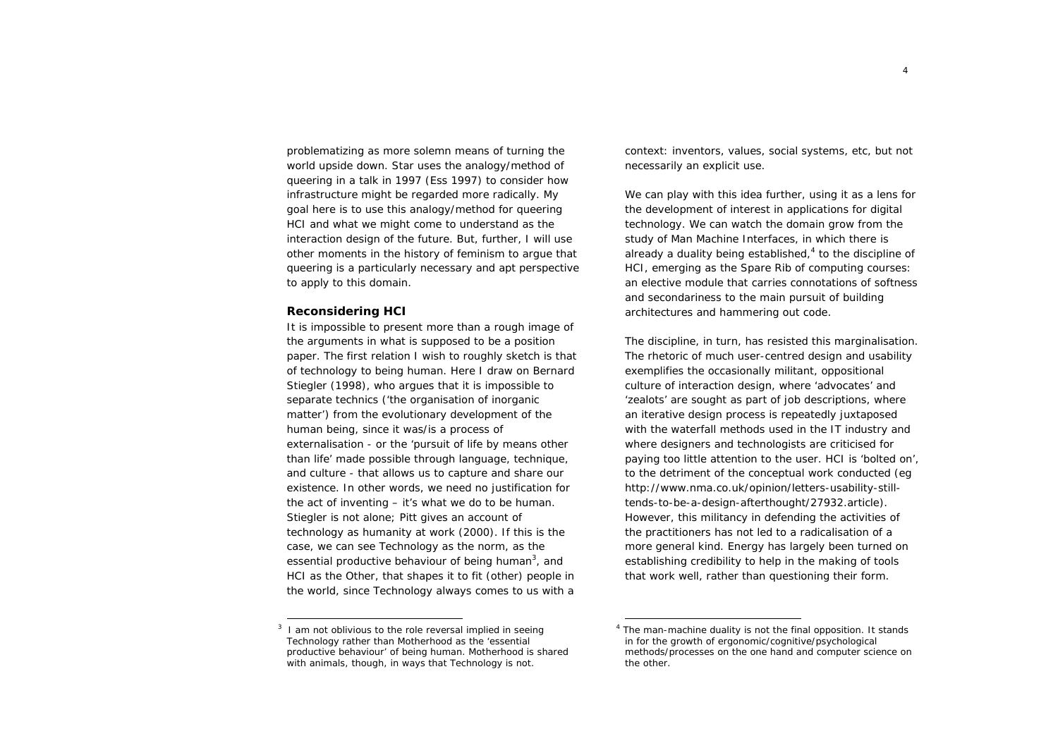problematizing as more solemn means of turning the world upside down. Star uses the analogy/method of queering in a talk in 1997 (Ess 1997) to consider how infrastructure might be regarded more radically. My goal here is to use this analogy/method for queering HCI and what we might come to understand as the interaction design of the future. But, further, I will use other moments in the history of feminism to argue that queering is a particularly necessary and apt perspective to apply to this domain.

#### **Reconsidering HCI**

It is impossible to present more than a rough image of the arguments in what is supposed to be a position paper. The first relation I wish to roughly sketch is that of technology to being human. Here I draw on Bernard Stiegler (1998), who argues that it is impossible to separate technics ('the organisation of inorganic matter') from the evolutionary development of the human being, since it was/is a process of externalisation - or the 'pursuit of life by means other than life' made possible through language, technique, and culture - that allows us to capture and share our existence. In other words, we need no justification for the act of inventing – it's what we do to *be* human. Stiegler is not alone; Pitt gives an account of technology as *humanity at work* (2000). If this is the case, we can see Technology as the norm, as the essential productive behaviour of being human<sup>3</sup>, and HCI as the Other, that shapes it to fit (other) people in the world, since Technology always comes to us with a

context: inventors, values, social systems, etc, but not necessarily an explicit use.

We can play with this idea further, using it as a lens for the development of interest in applications for digital technology. We can watch the domain grow from the study of *Man Machine Interfaces*, in which there is already a duality being established, $4$  to the discipline of HCI, emerging as the Spare Rib of computing courses: an elective module that carries connotations of softness and secondariness to the main pursuit of building architectures and hammering out code.

The discipline, in turn, has resisted this marginalisation. The rhetoric of much user-centred design and usability exemplifies the occasionally militant, oppositional culture of interaction design, where 'advocates' and 'zealots' are sought as part of job descriptions, where an iterative design process is repeatedly juxtaposed with the waterfall methods used in the IT industry and where designers and technologists are criticised for paying too little attention to the user. HCI is 'bolted on', to the detriment of the conceptual work conducted (eg http://www.nma.co.uk/opinion/letters-usability-stilltends-to-be-a-design-afterthought/27932.article). However, this militancy in defending the activities of the practitioners has not led to a radicalisation of a more general kind. Energy has largely been turned on establishing credibility to help in the making of tools that work well, rather than questioning their form.

I am not oblivious to the role reversal implied in seeing Technology rather than Motherhood as the 'essential productive behaviour' of being human. Motherhood is shared with animals, though, in ways that Technology is not.

<sup>&</sup>lt;sup>4</sup> The man-machine duality is not the final opposition. It stands in for the growth of ergonomic/cognitive/psychological methods/processes on the one hand and computer science on the other.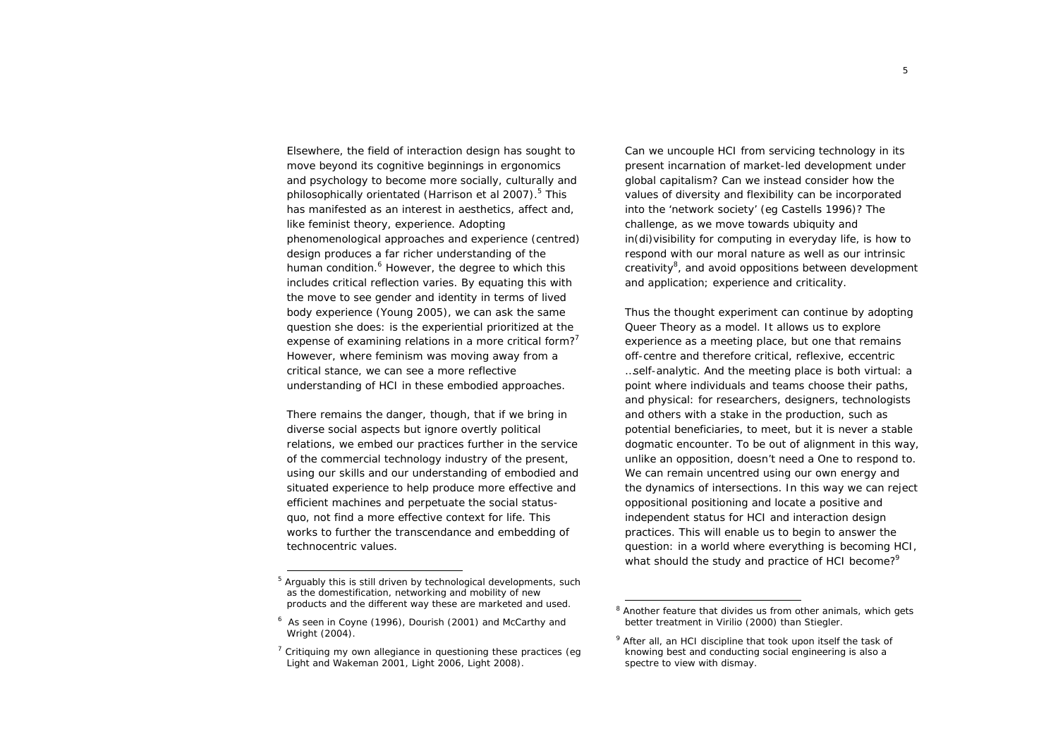Elsewhere, the field of interaction design has sought to move beyond its cognitive beginnings in ergonomics and psychology to become more socially, culturally and philosophically orientated (Harrison et al 2007).<sup>5</sup> This has manifested as an interest in aesthetics, affect and, like feminist theory, experience. Adopting phenomenological approaches and experience (centred) design produces a far richer understanding of the human condition.<sup>6</sup> However, the degree to which this includes critical reflection varies. By equating this with the move to see gender and identity in terms of lived body experience (Young 2005), we can ask the same question she does: is the experiential prioritized at the expense of examining relations in a more critical form? However, where feminism was moving away from a critical stance, we can see a more reflective understanding of HCI in these embodied approaches.

There remains the danger, though, that if we bring in diverse social aspects but ignore overtly political relations, we embed our practices further in the service of the commercial technology industry of the present, using our skills and our understanding of embodied and situated experience to help produce more effective and efficient machines and perpetuate the social statusquo, not find a more effective context for life. This works to further the transcendance and embedding of technocentric values.

Can we uncouple HCI from servicing technology in its present incarnation of market-led development under global capitalism? Can we instead consider how the values of diversity and flexibility can be incorporated into the 'network society' (eg Castells 1996)? The challenge, as we move towards ubiquity and in(di)visibility for computing in everyday life, is how to respond with our moral nature as well as our intrinsic creativity $^8$ , and avoid oppositions between development and application; experience and criticality.

Thus the thought experiment can continue by adopting Queer Theory as a model. It allows us to explore experience as a meeting place, but one that remains off-centre and therefore critical, reflexive, eccentric …self-analytic. And the meeting place is both virtual: a point where individuals and teams choose their paths, and physical: for researchers, designers, technologists and others with a stake in the production, such as potential beneficiaries, to meet, but it is never a stable dogmatic encounter. To be out of alignment in this way, unlike an opposition, doesn't need a One to respond to. We can remain uncentred using our own energy and the dynamics of intersections. In this way we can reject oppositional positioning and locate a positive and independent status for HCI and interaction design practices. This will enable us to begin to answer the question: in a world where everything is becoming HCI, what should the study and practice of HCI become?<sup>9</sup>

Arguably this is still driven by technological developments, such as the domestification, networking and mobility of new products and the different way these are marketed and used.

<sup>6</sup> As seen in Coyne (1996), Dourish (2001) and McCarthy and Wright (2004).

 $<sup>7</sup>$  Critiquing my own allegiance in questioning these practices (eq.</sup> Light and Wakeman 2001, Light 2006, Light 2008).

 $8$  Another feature that divides us from other animals, which gets better treatment in Virilio (2000) than Stiegler.

 $9$  After all, an HCI discipline that took upon itself the task of knowing best and conducting social engineering is also a spectre to view with dismay.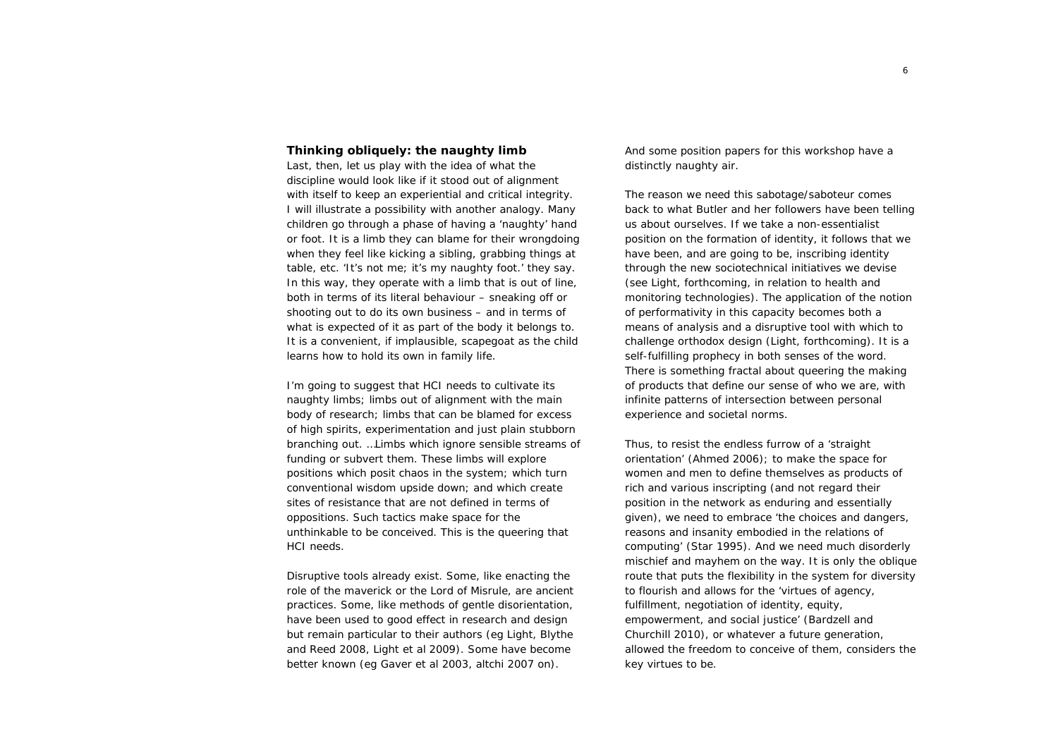## **Thinking obliquely: the naughty limb**

Last, then, let us play with the idea of what the discipline would look like if it stood out of alignment with itself to keep an experiential and critical integrity. I will illustrate a possibility with another analogy. Many children go through a phase of having a 'naughty' hand or foot. It is a limb they can blame for their wrongdoing when they feel like kicking a sibling, grabbing things at table, etc. 'It's not me; it's my naughty foot.' they say. In this way, they operate with a limb that is out of line, both in terms of its literal behaviour – sneaking off or shooting out to do its own business – and in terms of what is expected of it as part of the body it belongs to. It is a convenient, if implausible, scapegoat as the child learns how to hold its own in family life.

I'm going to suggest that HCI needs to cultivate its naughty limbs; limbs out of alignment with the main body of research; limbs that can be blamed for excess of high spirits, experimentation and just plain stubborn branching out. …Limbs which ignore sensible streams of funding or subvert them. These limbs will explore positions which posit chaos in the system; which turn conventional wisdom upside down; and which create sites of resistance that are not defined in terms of oppositions. Such tactics make space for the unthinkable to be conceived. This is the queering that HCI needs.

Disruptive tools already exist. Some, like enacting the role of the maverick or the Lord of Misrule, are ancient practices. Some, like methods of gentle disorientation, have been used to good effect in research and design but remain particular to their authors (eg Light, Blythe and Reed 2008, Light et al 2009). Some have become better known (eg Gaver et al 2003, altchi 2007 on).

And some position papers for this workshop have a distinctly naughty air.

The reason we need this sabotage/saboteur comes back to what Butler and her followers have been telling us about ourselves. If we take a non-essentialist position on the formation of identity, it follows that we have been, and are going to be, inscribing identity through the new sociotechnical initiatives we devise (see Light, forthcoming, in relation to health and monitoring technologies). The application of the notion of performativity in this capacity becomes both a means of analysis and a disruptive tool with which to challenge orthodox design (Light, forthcoming). It is a *self*-fulfilling prophecy in both senses of the word. There is something fractal about queering the making of products that define our sense of who we are, with infinite patterns of intersection between personal experience and societal norms.

Thus, to resist the endless furrow of a 'straight orientation' (Ahmed 2006); to make the space for women and men to define themselves as products of rich and various inscripting (and not regard their position in the network as enduring and essentially given), we need to embrace 'the choices and dangers, reasons and insanity embodied in the relations of computing' (Star 1995). And we need much disorderly mischief and mayhem on the way. It is only the oblique route that puts the flexibility in the system for diversity to flourish and allows for the 'virtues of agency, fulfillment, negotiation of identity, equity, empowerment, and social justice' (Bardzell and Churchill 2010), or whatever a future generation, allowed the freedom to conceive of them, considers the key virtues to be.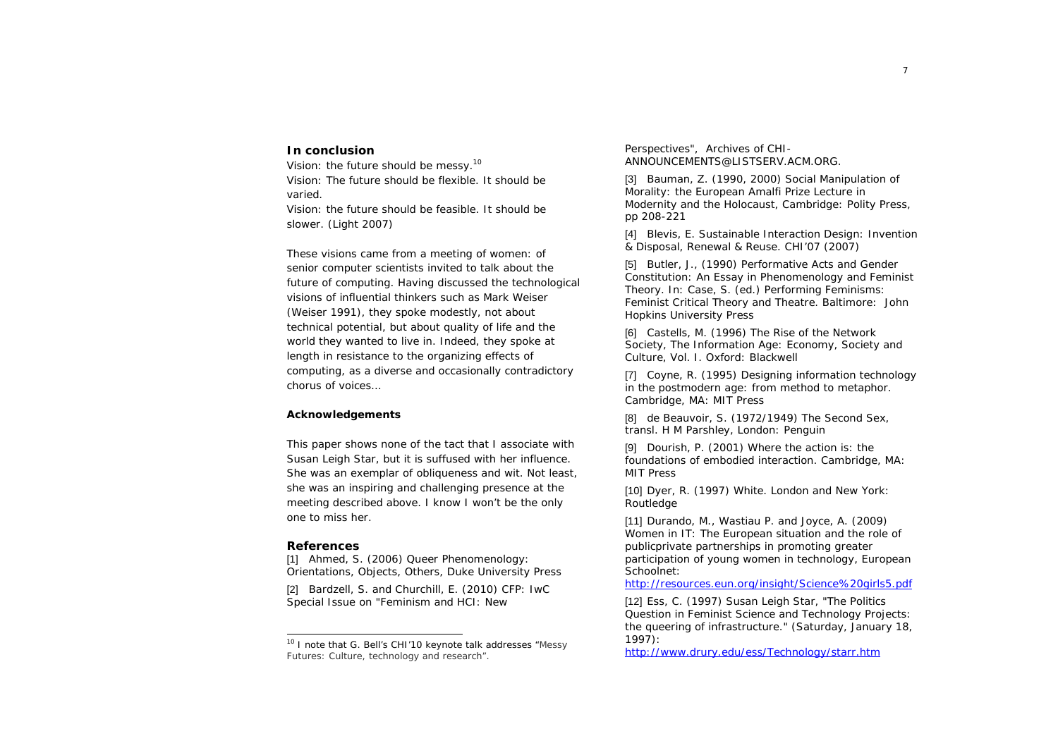# **In conclusion**

Vision: the future should be messy.<sup>10</sup> Vision: The future should be flexible. It should be varied.

Vision: the future should be feasible. It should be slower. (Light 2007)

These visions came from a meeting of women: of senior computer scientists invited to talk about the future of computing. Having discussed the technological visions of influential thinkers such as Mark Weiser (Weiser 1991), they spoke modestly, not about technical potential, but about quality of life and the world they wanted to live in. Indeed, they spoke at length in resistance to the organizing effects of computing, as a diverse and occasionally contradictory chorus of voices…

## **Acknowledgements**

This paper shows none of the tact that I associate with Susan Leigh Star, but it is suffused with her influence. She was an exemplar of obliqueness and wit. Not least, she was an inspiring and challenging presence at the meeting described above. I know I won't be the only one to miss her.

#### **References**

[1] Ahmed, S. (2006) Queer Phenomenology: Orientations, Objects, Others, Duke University Press

[2] Bardzell, S. and Churchill, E. (2010) CFP: IwC Special Issue on "Feminism and HCI: New

Perspectives", Archives of CHI-ANNOUNCEMENTS@LISTSERV.ACM.ORG.

[3] Bauman, Z. (1990, 2000) Social Manipulation of Morality: the European Amalfi Prize Lecture in *Modernity and the Holocaust*, Cambridge: Polity Press, pp 208-221

[4] Blevis, E. Sustainable Interaction Design: Invention & Disposal, Renewal & Reuse. CHI'07 (2007)

[5] Butler, J., (1990) Performative Acts and Gender Constitution: An Essay in Phenomenology and Feminist Theory. In: Case, S. (ed.) *Performing Feminisms: Feminist Critical Theory and Theatre*. Baltimore: John Hopkins University Press

[6] Castells, M. (1996) The Rise of the Network Society, The Information Age: Economy, Society and Culture, Vol. I. Oxford: Blackwell

[7] Coyne, R. (1995) Designing information technology in the postmodern age: from method to metaphor. Cambridge, MA: MIT Press

[8] de Beauvoir, S. (1972/1949) *The Second Sex*, transl. H M Parshley, London: Penguin

[9] Dourish, P. (2001) Where the action is: the foundations of embodied interaction. Cambridge, MA: MIT Press

[10] Dyer, R. (1997) White. London and New York: Routledge

[11] Durando, M., Wastiau P. and Joyce, A. (2009) Women in IT: The European situation and the role of publicprivate partnerships in promoting greater participation of young women in technology, European Schoolnet:

http://resources.eun.org/insight/Science%20girls5.pdf

[12] Ess, C. (1997) Susan Leigh Star, "The Politics Question in Feminist Science and Technology Projects: the queering of infrastructure." (Saturday, January 18, 1997):

http://www.drury.edu/ess/Technology/starr.htm

<sup>&</sup>lt;sup>10</sup> I note that G. Bell's CHI'10 keynote talk addresses "Messy Futures: Culture, technology and research".